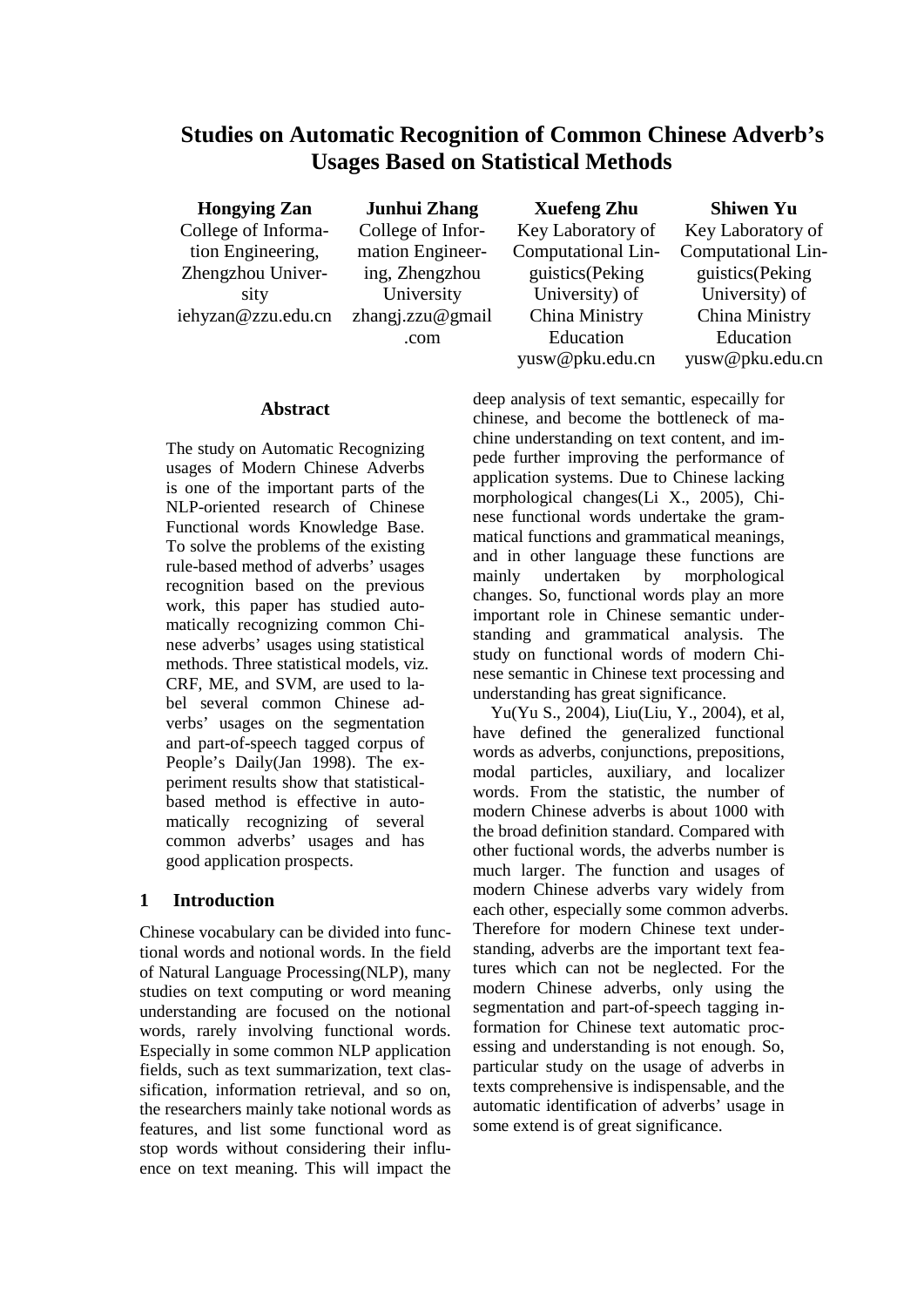# **Studies on Automatic Recognition of Common Chinese Adverb's Usages Based on Statistical Methods**

**Hongying Zan** College of Information Engineering, Zhengzhou University iehyzan@zzu.edu.cn

**Junhui Zhang** College of Information Engineering, Zhengzhou University zhangj.zzu@gmail .com

**Xuefeng Zhu** Key Laboratory of Computational Linguistics(Peking University) of China Ministry Education yusw@pku.edu.cn

**Shiwen Yu** Key Laboratory of Computational Linguistics(Peking University) of China Ministry Education yusw@pku.edu.cn

### **Abstract**

The study on Automatic Recognizing usages of Modern Chinese Adverbs is one of the important parts of the NLP-oriented research of Chinese Functional words Knowledge Base. To solve the problems of the existing rule-based method of adverbs' usages recognition based on the previous work, this paper has studied automatically recognizing common Chinese adverbs' usages using statistical methods. Three statistical models, viz. CRF, ME, and SVM, are used to label several common Chinese adverbs' usages on the segmentation and part-of-speech tagged corpus of People's Daily(Jan 1998). The experiment results show that statisticalbased method is effective in automatically recognizing of several common adverbs' usages and has good application prospects.

### **1 Introduction**

Chinese vocabulary can be divided into functional words and notional words. In the field of Natural Language Processing(NLP), many studies on text computing or word meaning understanding are focused on the notional words, rarely involving functional words. Especially in some common NLP application fields, such as text summarization, text classification, information retrieval, and so on, the researchers mainly take notional words as features, and list some functional word as stop words without considering their influence on text meaning. This will impact the

deep analysis of text semantic, especailly for chinese, and become the bottleneck of machine understanding on text content, and impede further improving the performance of application systems. Due to Chinese lacking morphological changes(Li X., 2005), Chinese functional words undertake the grammatical functions and grammatical meanings, and in other language these functions are mainly undertaken by morphological changes. So, functional words play an more important role in Chinese semantic understanding and grammatical analysis. The study on functional words of modern Chinese semantic in Chinese text processing and understanding has great significance.

Yu(Yu S., 2004), Liu(Liu, Y., 2004), et al, have defined the generalized functional words as adverbs, conjunctions, prepositions, modal particles, auxiliary, and localizer words. From the statistic, the number of modern Chinese adverbs is about 1000 with the broad definition standard. Compared with other fuctional words, the adverbs number is much larger. The function and usages of modern Chinese adverbs vary widely from each other, especially some common adverbs. Therefore for modern Chinese text understanding, adverbs are the important text features which can not be neglected. For the modern Chinese adverbs, only using the segmentation and part-of-speech tagging information for Chinese text automatic processing and understanding is not enough. So, particular study on the usage of adverbs in texts comprehensive is indispensable, and the automatic identification of adverbs' usage in some extend is of great significance.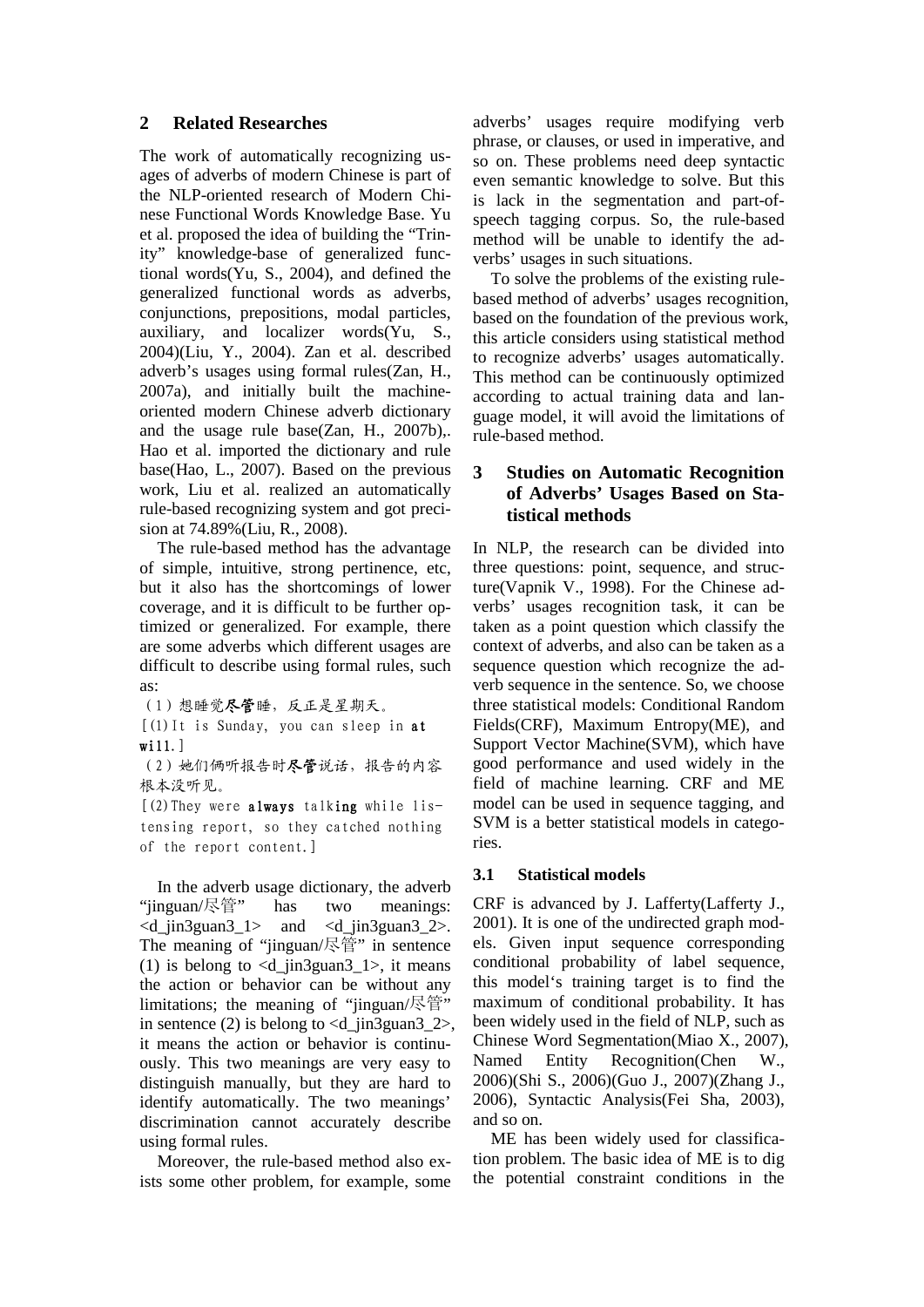#### **2 Related Researches**

The work of automatically recognizing usages of adverbs of modern Chinese is part of the NLP-oriented research of Modern Chinese Functional Words Knowledge Base. Yu et al. proposed the idea of building the "Trinity" knowledge-base of generalized functional words(Yu, S., 2004), and defined the generalized functional words as adverbs, conjunctions, prepositions, modal particles, auxiliary, and localizer words(Yu, S., 2004)(Liu, Y., 2004). Zan et al. described adverb's usages using formal rules(Zan, H., 2007a), and initially built the machineoriented modern Chinese adverb dictionary and the usage rule base(Zan, H., 2007b),. Hao et al. imported the dictionary and rule base(Hao, L., 2007). Based on the previous work, Liu et al. realized an automatically rule-based recognizing system and got precision at 74.89%(Liu, R., 2008).

The rule-based method has the advantage of simple, intuitive, strong pertinence, etc, but it also has the shortcomings of lower coverage, and it is difficult to be further optimized or generalized. For example, there are some adverbs which different usages are difficult to describe using formal rules, such as:

(1)想睡觉尽管睡,反正是星期天。 [(1)It is Sunday, you can sleep in at wi11.]

(2)她们俩听报告时尽管说话,报告的内容 根本没听见。

[(2)They were always talking while listensing report, so they catched nothing of the report content.]

In the adverb usage dictionary, the adverb "jinguan/尽管" has two meanings:  $\leq d$  jin3guan3 1> and  $\leq d$  jin3guan3 2>. The meaning of "jinguan/尽管" in sentence (1) is belong to  $\langle d \rangle$  in3guan3 1>, it means the action or behavior can be without any limitations; the meaning of "jinguan/尽管" in sentence (2) is belong to  $\langle d \rangle$  in3guan3 2>, it means the action or behavior is continuously. This two meanings are very easy to distinguish manually, but they are hard to identify automatically. The two meanings' discrimination cannot accurately describe using formal rules.

Moreover, the rule-based method also exists some other problem, for example, some adverbs' usages require modifying verb phrase, or clauses, or used in imperative, and so on. These problems need deep syntactic even semantic knowledge to solve. But this is lack in the segmentation and part-ofspeech tagging corpus. So, the rule-based method will be unable to identify the adverbs' usages in such situations.

To solve the problems of the existing rulebased method of adverbs' usages recognition, based on the foundation of the previous work, this article considers using statistical method to recognize adverbs' usages automatically. This method can be continuously optimized according to actual training data and language model, it will avoid the limitations of rule-based method.

## **3 Studies on Automatic Recognition of Adverbs' Usages Based on Statistical methods**

In NLP, the research can be divided into three questions: point, sequence, and structure(Vapnik V., 1998). For the Chinese adverbs' usages recognition task, it can be taken as a point question which classify the context of adverbs, and also can be taken as a sequence question which recognize the adverb sequence in the sentence. So, we choose three statistical models: Conditional Random Fields(CRF), Maximum Entropy(ME), and Support Vector Machine(SVM), which have good performance and used widely in the field of machine learning. CRF and ME model can be used in sequence tagging, and SVM is a better statistical models in categories.

### **3.1 Statistical models**

CRF is advanced by J. Lafferty(Lafferty J., 2001). It is one of the undirected graph models. Given input sequence corresponding conditional probability of label sequence, this model's training target is to find the maximum of conditional probability. It has been widely used in the field of NLP, such as Chinese Word Segmentation(Miao X., 2007), Named Entity Recognition(Chen W., 2006)(Shi S., 2006)(Guo J., 2007)(Zhang J., 2006), Syntactic Analysis(Fei Sha, 2003), and so on.

ME has been widely used for classification problem. The basic idea of ME is to dig the potential constraint conditions in the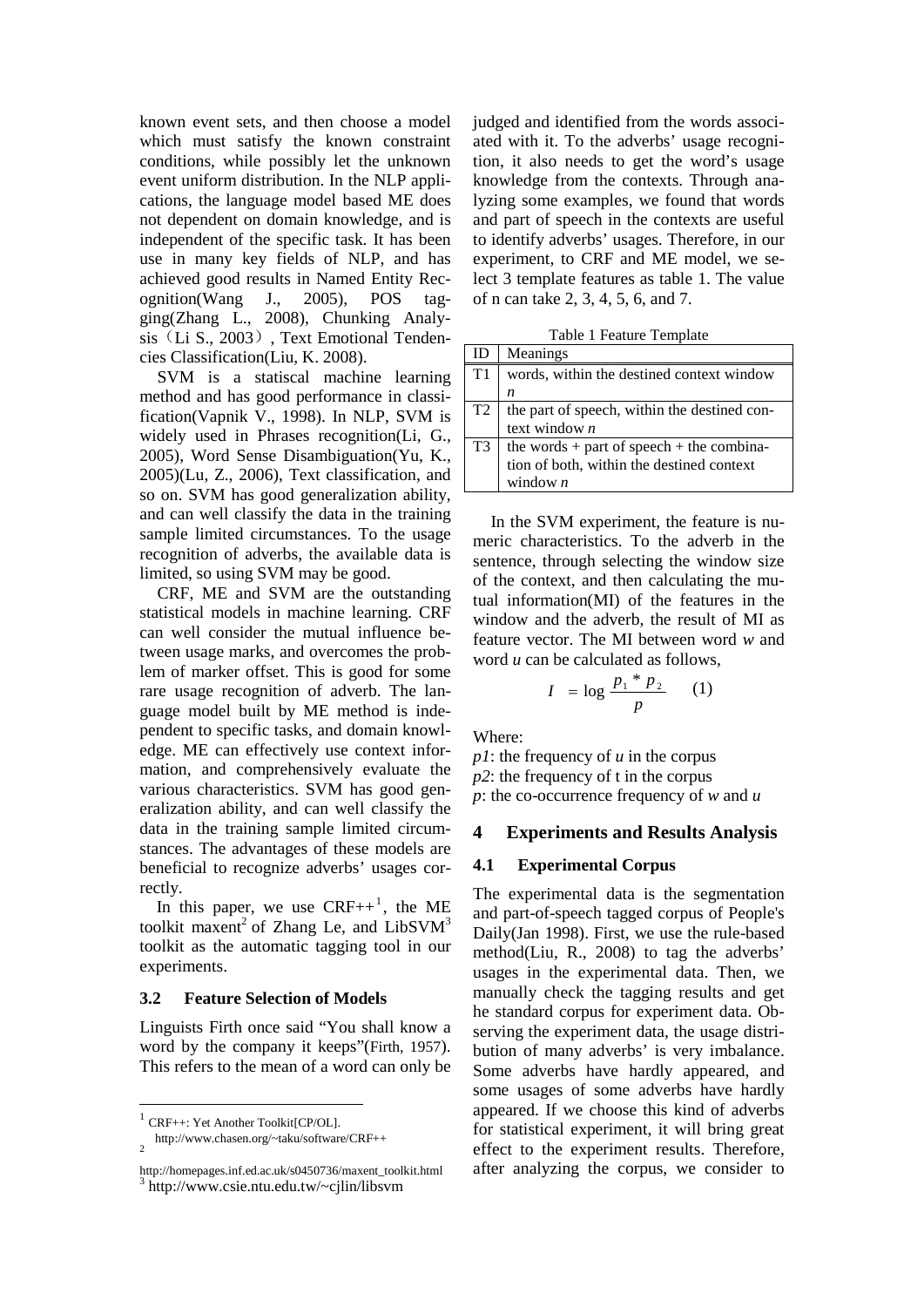known event sets, and then choose a model which must satisfy the known constraint conditions, while possibly let the unknown event uniform distribution. In the NLP applications, the language model based ME does not dependent on domain knowledge, and is independent of the specific task. It has been use in many key fields of NLP, and has achieved good results in Named Entity Recognition(Wang J., 2005), POS tagging(Zhang L., 2008), Chunking Analysis (Li S., 2003), Text Emotional Tendencies Classification(Liu, K. 2008).

SVM is a statiscal machine learning method and has good performance in classification(Vapnik V., 1998). In NLP, SVM is widely used in Phrases recognition(Li, G., 2005), Word Sense Disambiguation(Yu, K., 2005)(Lu, Z., 2006), Text classification, and so on. SVM has good generalization ability, and can well classify the data in the training sample limited circumstances. To the usage recognition of adverbs, the available data is limited, so using SVM may be good.

CRF, ME and SVM are the outstanding statistical models in machine learning. CRF can well consider the mutual influence between usage marks, and overcomes the problem of marker offset. This is good for some rare usage recognition of adverb. The language model built by ME method is independent to specific tasks, and domain knowledge. ME can effectively use context information, and comprehensively evaluate the various characteristics. SVM has good generalization ability, and can well classify the data in the training sample limited circumstances. The advantages of these models are beneficial to recognize adverbs' usages correctly.

In this paper, we use  $CRF++^1$ , the ME toolkit maxent<sup>2</sup> of Zhang Le, and LibSV $M<sup>3</sup>$ toolkit as the automatic tagging tool in our experiments.

#### **3.2 Feature Selection of Models**

Linguists Firth once said "You shall know a word by the company it keeps"(Firth, 1957). This refers to the mean of a word can only be judged and identified from the words associated with it. To the adverbs' usage recognition, it also needs to get the word's usage knowledge from the contexts. Through analyzing some examples, we found that words and part of speech in the contexts are useful to identify adverbs' usages. Therefore, in our experiment, to CRF and ME model, we select 3 template features as table 1. The value of n can take 2, 3, 4, 5, 6, and 7.

Table 1 Feature Template

| ID             | Meanings                                                                                                       |
|----------------|----------------------------------------------------------------------------------------------------------------|
| T1             | words, within the destined context window                                                                      |
|                | n                                                                                                              |
| T <sub>2</sub> | the part of speech, within the destined con-<br>text window $\boldsymbol{n}$                                   |
|                |                                                                                                                |
| T3             | $\begin{cases} the words + part of speech + the combina-tion of both, within the destined context \end{cases}$ |
|                |                                                                                                                |
|                | window $n$                                                                                                     |

In the SVM experiment, the feature is numeric characteristics. To the adverb in the sentence, through selecting the window size of the context, and then calculating the mutual information(MI) of the features in the window and the adverb, the result of MI as feature vector. The MI between word *w* and word *u* can be calculated as follows,

$$
I = \log \frac{p_1 * p_2}{p} \qquad (1)
$$

Where:

*p1*: the frequency of *u* in the corpus *p2*: the frequency of t in the corpus *p*: the co-occurrence frequency of *w* and *u*

#### **4 Experiments and Results Analysis**

#### **4.1 Experimental Corpus**

The experimental data is the segmentation and part-of-speech tagged corpus of People's Daily(Jan 1998). First, we use the rule-based method(Liu, R., 2008) to tag the adverbs' usages in the experimental data. Then, we manually check the tagging results and get he standard corpus for experiment data. Observing the experiment data, the usage distribution of many adverbs' is very imbalance. Some adverbs have hardly appeared, and some usages of some adverbs have hardly appeared. If we choose this kind of adverbs for statistical experiment, it will bring great effect to the experiment results. Therefore, after analyzing the corpus, we consider to

<sup>1</sup> CRF++: Yet Another Toolkit[CP/OL].

http://www.chasen.org/~taku/software/CRF++ <sup>2</sup>

http://homepages.inf.ed.ac.uk/s0450736/maxent\_toolkit.html  $3$  http://www.csie.ntu.edu.tw/~cjlin/libsvm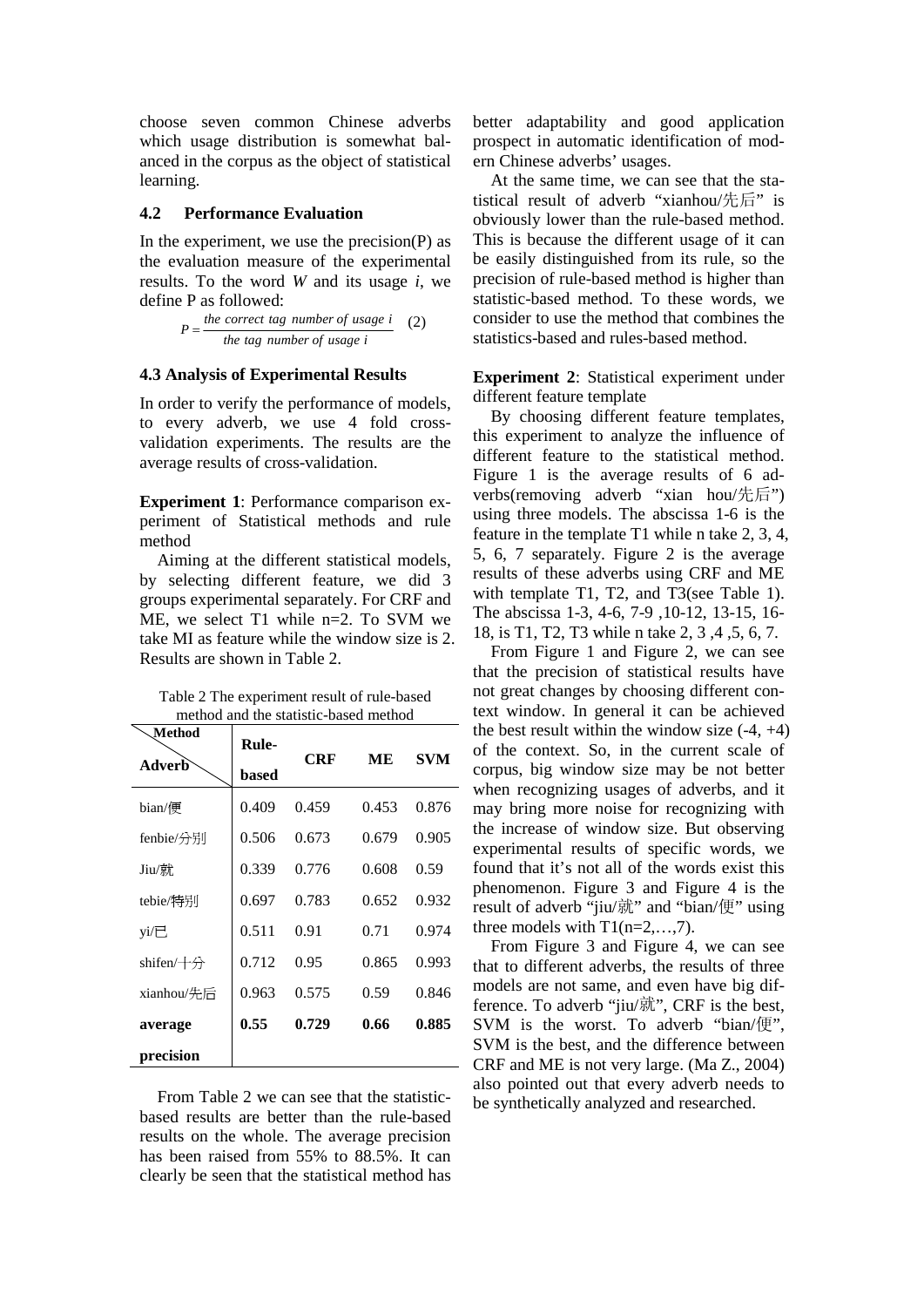choose seven common Chinese adverbs which usage distribution is somewhat balanced in the corpus as the object of statistical learning.

#### **4.2 Performance Evaluation**

In the experiment, we use the precision $(P)$  as the evaluation measure of the experimental results. To the word *W* and its usage *i*, we define P as followed:

$$
P = \frac{the\ correct\ tag\ number\ of\ usage\ i}{the\ tag\ number\ of\ usage\ i}
$$
 (2)

#### **4.3 Analysis of Experimental Results**

In order to verify the performance of models, to every adverb, we use 4 fold crossvalidation experiments. The results are the average results of cross-validation.

**Experiment 1**: Performance comparison experiment of Statistical methods and rule method

Aiming at the different statistical models, by selecting different feature, we did 3 groups experimental separately. For CRF and ME, we select T1 while n=2. To SVM we take MI as feature while the window size is 2. Results are shown in Table 2.

| Table 2 The experiment result of rule-based |
|---------------------------------------------|
| method and the statistic-based method       |

| Method            | Rule- | CRF   | MЕ    | SVM   |
|-------------------|-------|-------|-------|-------|
| Adverb            | based |       |       |       |
| bian/便            | 0.409 | 0.459 | 0.453 | 0.876 |
| fenbie/分别         | 0.506 | 0.673 | 0.679 | 0.905 |
| Jiu/就             | 0.339 | 0.776 | 0.608 | 0.59  |
| tebie/特别          | 0.697 | 0.783 | 0.652 | 0.932 |
| yi/已              | 0.511 | 0.91  | 0.71  | 0.974 |
| shifen/ $+\oplus$ | 0.712 | 0.95  | 0.865 | 0.993 |
| xianhou/先后        | 0.963 | 0.575 | 0.59  | 0.846 |
| average           | 0.55  | 0.729 | 0.66  | 0.885 |
| precision         |       |       |       |       |

From Table 2 we can see that the statisticbased results are better than the rule-based results on the whole. The average precision has been raised from 55% to 88.5%. It can clearly be seen that the statistical method has

better adaptability and good application prospect in automatic identification of modern Chinese adverbs' usages.

At the same time, we can see that the statistical result of adverb "xianhou/先后" is obviously lower than the rule-based method. This is because the different usage of it can be easily distinguished from its rule, so the precision of rule-based method is higher than statistic-based method. To these words, we consider to use the method that combines the statistics-based and rules-based method.

**Experiment 2**: Statistical experiment under different feature template

By choosing different feature templates, this experiment to analyze the influence of different feature to the statistical method. Figure 1 is the average results of 6 adverbs(removing adverb "xian hou/先后") using three models. The abscissa 1-6 is the feature in the template T1 while n take 2, 3, 4, 5, 6, 7 separately. Figure 2 is the average results of these adverbs using CRF and ME with template T1, T2, and T3(see Table 1). The abscissa 1-3, 4-6, 7-9 ,10-12, 13-15, 16- 18, is T1, T2, T3 while n take 2, 3 ,4 ,5, 6, 7.

From Figure 1 and Figure 2, we can see that the precision of statistical results have not great changes by choosing different context window. In general it can be achieved the best result within the window size  $(-4, +4)$ of the context. So, in the current scale of corpus, big window size may be not better when recognizing usages of adverbs, and it may bring more noise for recognizing with the increase of window size. But observing experimental results of specific words, we found that it's not all of the words exist this phenomenon. Figure 3 and Figure 4 is the result of adverb "jiu/就" and "bian/便" using three models with  $T1(n=2,...,7)$ .

From Figure 3 and Figure 4, we can see that to different adverbs, the results of three models are not same, and even have big difference. To adverb "jiu/就", CRF is the best, SVM is the worst. To adverb "bian/便", SVM is the best, and the difference between CRF and ME is not very large. (Ma Z., 2004) also pointed out that every adverb needs to be synthetically analyzed and researched.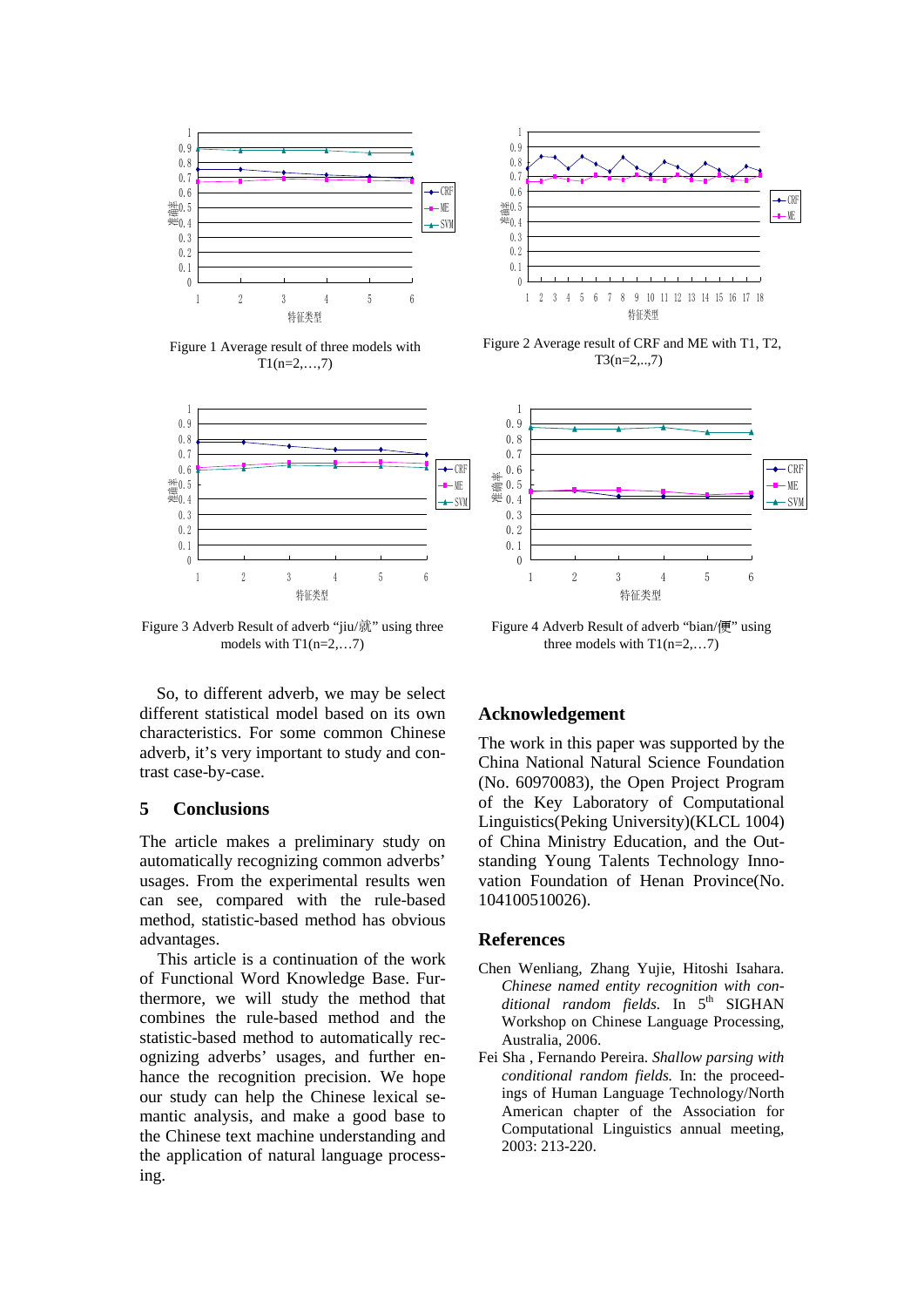

Figure 1 Average result of three models with  $T1(n=2,...,7)$ 



Figure 3 Adverb Result of adverb "jiu/就" using three models with  $T1(n=2,...7)$ 

So, to different adverb, we may be select different statistical model based on its own characteristics. For some common Chinese adverb, it's very important to study and contrast case-by-case.

#### **5 Conclusions**

The article makes a preliminary study on automatically recognizing common adverbs' usages. From the experimental results wen can see, compared with the rule-based method, statistic-based method has obvious advantages.

This article is a continuation of the work of Functional Word Knowledge Base. Furthermore, we will study the method that combines the rule-based method and the statistic-based method to automatically recognizing adverbs' usages, and further enhance the recognition precision. We hope our study can help the Chinese lexical semantic analysis, and make a good base to the Chinese text machine understanding and the application of natural language processing.



 Figure 2 Average result of CRF and ME with T1, T2, T3(n=2,..,7)



Figure 4 Adverb Result of adverb "bian/便" using three models with  $T1(n=2,...7)$ 

#### **Acknowledgement**

The work in this paper was supported by the China National Natural Science Foundation (No. 60970083), the Open Project Program of the Key Laboratory of Computational Linguistics(Peking University)(KLCL 1004) of China Ministry Education, and the Outstanding Young Talents Technology Innovation Foundation of Henan Province(No. 104100510026).

#### **References**

- Chen Wenliang, Zhang Yujie, Hitoshi Isahara. *Chinese named entity recognition with conditional random fields*. In 5<sup>th</sup> SIGHAN Workshop on Chinese Language Processing, Australia, 2006.
- Fei Sha , Fernando Pereira. *Shallow parsing with conditional random fields.* In: the proceedings of Human Language Technology/North American chapter of the Association for Computational Linguistics annual meeting, 2003: 213-220.